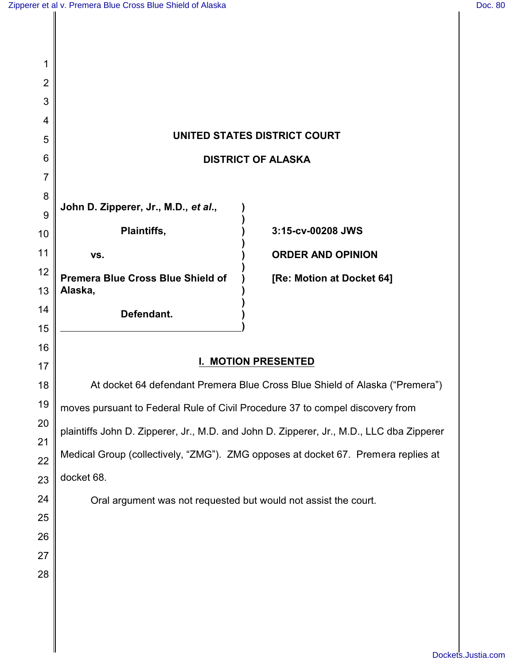| 1              |                                                                               |                                                                                          |
|----------------|-------------------------------------------------------------------------------|------------------------------------------------------------------------------------------|
| $\overline{2}$ |                                                                               |                                                                                          |
| 3              |                                                                               |                                                                                          |
| 4              |                                                                               |                                                                                          |
| 5              | UNITED STATES DISTRICT COURT                                                  |                                                                                          |
| 6              |                                                                               | <b>DISTRICT OF ALASKA</b>                                                                |
| $\overline{7}$ |                                                                               |                                                                                          |
| 8              | John D. Zipperer, Jr., M.D., et al.,                                          |                                                                                          |
| 9              | Plaintiffs,                                                                   | 3:15-cv-00208 JWS                                                                        |
| 10             |                                                                               |                                                                                          |
| 11             | VS.                                                                           | <b>ORDER AND OPINION</b>                                                                 |
| 12<br>13       | <b>Premera Blue Cross Blue Shield of</b><br>Alaska,                           | [Re: Motion at Docket 64]                                                                |
| 14             | Defendant.                                                                    |                                                                                          |
| 15             |                                                                               |                                                                                          |
| 16             |                                                                               |                                                                                          |
| 17             | <b>MOTION PRESENTED</b>                                                       |                                                                                          |
| 18             | At docket 64 defendant Premera Blue Cross Blue Shield of Alaska ("Premera")   |                                                                                          |
| 19             | moves pursuant to Federal Rule of Civil Procedure 37 to compel discovery from |                                                                                          |
| 20             |                                                                               | plaintiffs John D. Zipperer, Jr., M.D. and John D. Zipperer, Jr., M.D., LLC dba Zipperer |
| 21<br>22       |                                                                               | Medical Group (collectively, "ZMG"). ZMG opposes at docket 67. Premera replies at        |
| 23             | docket 68.                                                                    |                                                                                          |
| 24             | Oral argument was not requested but would not assist the court.               |                                                                                          |
| 25             |                                                                               |                                                                                          |
| 26             |                                                                               |                                                                                          |
| 27             |                                                                               |                                                                                          |
| 28             |                                                                               |                                                                                          |
|                |                                                                               |                                                                                          |
|                |                                                                               |                                                                                          |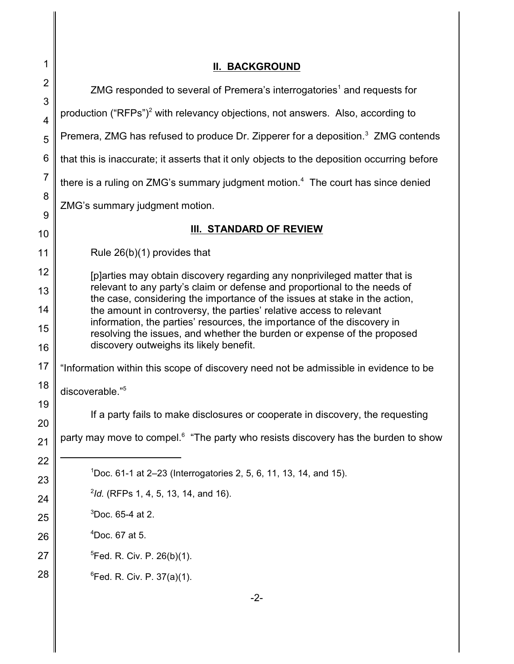| 1                   | <b>II. BACKGROUND</b>                                                                                                                                   |  |
|---------------------|---------------------------------------------------------------------------------------------------------------------------------------------------------|--|
| $\overline{2}$      | ZMG responded to several of Premera's interrogatories <sup>1</sup> and requests for                                                                     |  |
| 3<br>$\overline{4}$ | production ("RFPs") <sup>2</sup> with relevancy objections, not answers. Also, according to                                                             |  |
| 5                   | Premera, ZMG has refused to produce Dr. Zipperer for a deposition. <sup>3</sup> ZMG contends                                                            |  |
| 6                   | that this is inaccurate; it asserts that it only objects to the deposition occurring before                                                             |  |
| $\overline{7}$      | there is a ruling on ZMG's summary judgment motion. <sup>4</sup> The court has since denied                                                             |  |
| 8                   | ZMG's summary judgment motion.                                                                                                                          |  |
| 9                   | III. STANDARD OF REVIEW                                                                                                                                 |  |
| 10<br>11            | Rule $26(b)(1)$ provides that                                                                                                                           |  |
| 12                  |                                                                                                                                                         |  |
| 13                  | [p] arties may obtain discovery regarding any nonprivileged matter that is<br>relevant to any party's claim or defense and proportional to the needs of |  |
| 14                  | the case, considering the importance of the issues at stake in the action,<br>the amount in controversy, the parties' relative access to relevant       |  |
| 15                  | information, the parties' resources, the importance of the discovery in<br>resolving the issues, and whether the burden or expense of the proposed      |  |
| 16                  | discovery outweighs its likely benefit.                                                                                                                 |  |
| 17                  | "Information within this scope of discovery need not be admissible in evidence to be                                                                    |  |
| 18                  | discoverable."5                                                                                                                                         |  |
| 19                  | If a party fails to make disclosures or cooperate in discovery, the requesting                                                                          |  |
| 20<br>21            | party may move to compel. <sup>6</sup> "The party who resists discovery has the burden to show                                                          |  |
| 22                  |                                                                                                                                                         |  |
| 23                  | $1$ Doc. 61-1 at 2–23 (Interrogatories 2, 5, 6, 11, 13, 14, and 15).                                                                                    |  |
| 24                  | $^{2}$ ld. (RFPs 1, 4, 5, 13, 14, and 16).                                                                                                              |  |
| 25                  | $3$ Doc. 65-4 at 2.                                                                                                                                     |  |
| 26                  | $4$ Doc. 67 at 5.                                                                                                                                       |  |
| 27                  | <sup>5</sup> Fed. R. Civ. P. 26(b)(1).                                                                                                                  |  |
| 28                  | $^{6}$ Fed. R. Civ. P. 37(a)(1).                                                                                                                        |  |
|                     |                                                                                                                                                         |  |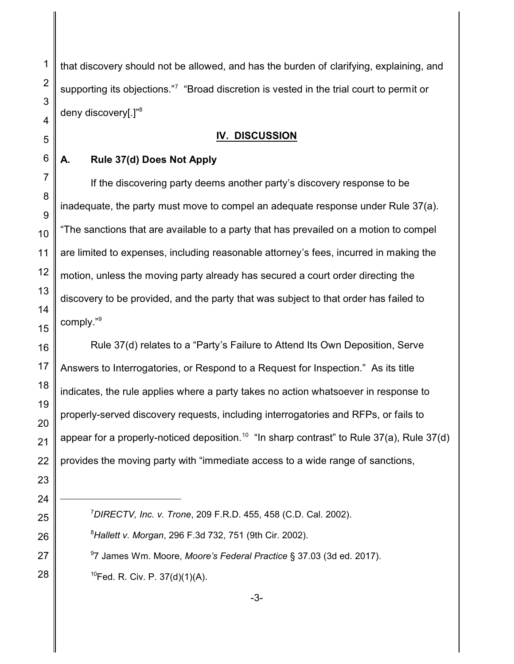that discovery should not be allowed, and has the burden of clarifying, explaining, and supporting its objections."7 "Broad discretion is vested in the trial court to permit or deny discovery[.]"<sup>8</sup>

## **IV. DISCUSSION**

## **A. Rule 37(d) Does Not Apply**

If the discovering party deems another party's discovery response to be inadequate, the party must move to compel an adequate response under Rule 37(a). "The sanctions that are available to a party that has prevailed on a motion to compel are limited to expenses, including reasonable attorney's fees, incurred in making the motion, unless the moving party already has secured a court order directing the discovery to be provided, and the party that was subject to that order has failed to comply."<sup>9</sup>

Rule 37(d) relates to a "Party's Failure to Attend Its Own Deposition, Serve Answers to Interrogatories, or Respond to a Request for Inspection." As its title indicates, the rule applies where a party takes no action whatsoever in response to properly-served discovery requests, including interrogatories and RFPs, or fails to appear for a properly-noticed deposition.<sup>10</sup> "In sharp contrast" to Rule 37(a), Rule 37(d) provides the moving party with "immediate access to a wide range of sanctions,

- *DIRECTV, Inc. v. Trone*, 209 F.R.D. 455, 458 (C.D. Cal. 2002).
- *Hallett v. Morgan*, 296 F.3d 732, 751 (9th Cir. 2002).
- 7 James Wm. Moore, *Moore's Federal Practice* § 37.03 (3d ed. 2017).  $^{10}$ Fed. R. Civ. P. 37(d)(1)(A).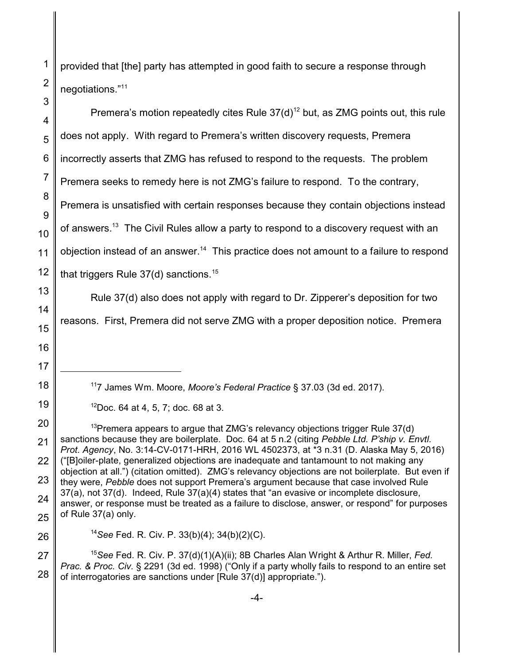provided that [the] party has attempted in good faith to secure a response through negotiations."<sup>11</sup> Premera's motion repeatedly cites Rule  $37(d)^{12}$  but, as ZMG points out, this rule

does not apply. With regard to Premera's written discovery requests, Premera incorrectly asserts that ZMG has refused to respond to the requests. The problem Premera seeks to remedy here is not ZMG's failure to respond. To the contrary, Premera is unsatisfied with certain responses because they contain objections instead of answers.<sup>13</sup> The Civil Rules allow a party to respond to a discovery request with an objection instead of an answer.<sup>14</sup> This practice does not amount to a failure to respond that triggers Rule  $37(d)$  sanctions.<sup>15</sup>

Rule 37(d) also does not apply with regard to Dr. Zipperer's deposition for two

reasons. First, Premera did not serve ZMG with a proper deposition notice. Premera

<sup>11</sup>7 James Wm. Moore, *Moore's Federal Practice* § 37.03 (3d ed. 2017).

<sup>13</sup>Premera appears to argue that ZMG's relevancy objections trigger Rule  $37(d)$ sanctions because they are boilerplate. Doc. 64 at 5 n.2 (citing *Pebble Ltd. P'ship v. Envtl. Prot. Agency*, No. 3:14-CV-0171-HRH, 2016 WL 4502373, at \*3 n.31 (D. Alaska May 5, 2016) ("[B]oiler-plate, generalized objections are inadequate and tantamount to not making any objection at all.") (citation omitted). ZMG's relevancy objections are not boilerplate. But even if they were, *Pebble* does not support Premera's argument because that case involved Rule 37(a), not 37(d). Indeed, Rule 37(a)(4) states that "an evasive or incomplete disclosure, answer, or response must be treated as a failure to disclose, answer, or respond" for purposes of Rule 37(a) only.

<sup>14</sup>*See* Fed. R. Civ. P. 33(b)(4); 34(b)(2)(C).

<sup>15</sup>*See* Fed. R. Civ. P. 37(d)(1)(A)(ii); 8B Charles Alan Wright & Arthur R. Miller, *Fed. Prac. & Proc. Civ.* § 2291 (3d ed. 1998) ("Only if a party wholly fails to respond to an entire set of interrogatories are sanctions under [Rule 37(d)] appropriate.").

 $12$ Doc. 64 at 4, 5, 7; doc. 68 at 3.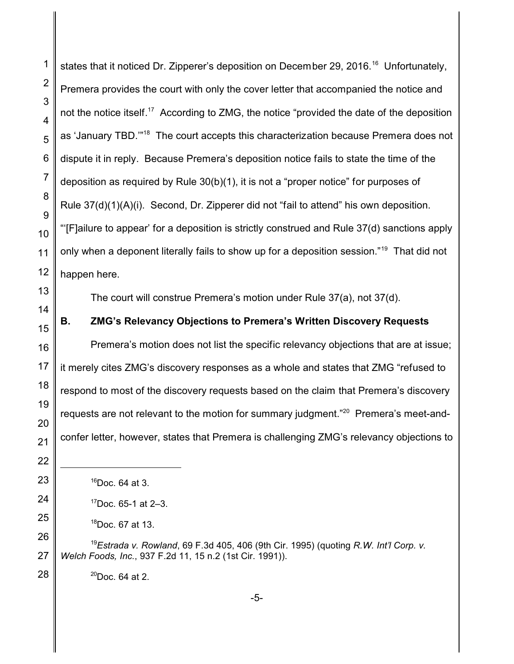states that it noticed Dr. Zipperer's deposition on December 29, 2016.<sup>16</sup> Unfortunately, Premera provides the court with only the cover letter that accompanied the notice and not the notice itself.<sup>17</sup> According to ZMG, the notice "provided the date of the deposition as 'January TBD.'"<sup>18</sup> The court accepts this characterization because Premera does not dispute it in reply. Because Premera's deposition notice fails to state the time of the deposition as required by Rule 30(b)(1), it is not a "proper notice" for purposes of Rule 37(d)(1)(A)(i). Second, Dr. Zipperer did not "fail to attend" his own deposition. "'[F]ailure to appear' for a deposition is strictly construed and Rule 37(d) sanctions apply only when a deponent literally fails to show up for a deposition session."<sup>19</sup> That did not happen here. The court will construe Premera's motion under Rule 37(a), not 37(d). **B. ZMG's Relevancy Objections to Premera's Written Discovery Requests**

Premera's motion does not list the specific relevancy objections that are at issue; it merely cites ZMG's discovery responses as a whole and states that ZMG "refused to respond to most of the discovery requests based on the claim that Premera's discovery requests are not relevant to the motion for summary judgment."<sup>20</sup> Premera's meet-andconfer letter, however, states that Premera is challenging ZMG's relevancy objections to

*Estrada v. Rowland*, 69 F.3d 405, 406 (9th Cir. 1995) (quoting *R.W. Int'l Corp. v. Welch Foods, Inc.*, 937 F.2d 11, 15 n.2 (1st Cir. 1991)).

 $^{20}$ Doc. 64 at 2.

Doc. 64 at 3.

Doc. 65-1 at 2-3.

Doc. 67 at 13.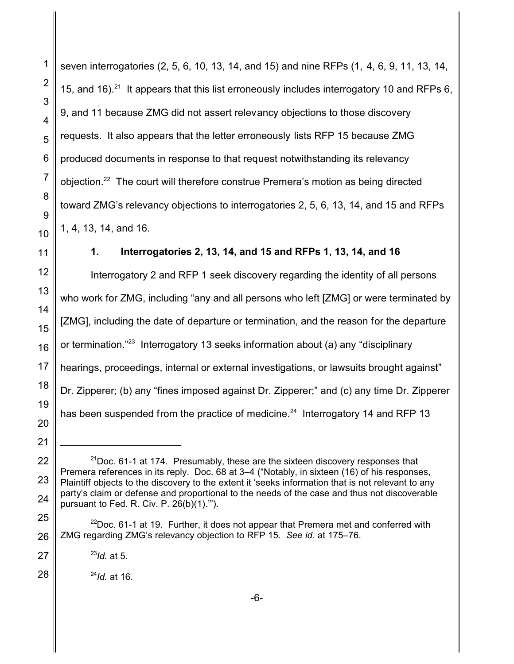seven interrogatories (2, 5, 6, 10, 13, 14, and 15) and nine RFPs (1, 4, 6, 9, 11, 13, 14, 15, and 16).<sup>21</sup> It appears that this list erroneously includes interrogatory 10 and RFPs 6, 9, and 11 because ZMG did not assert relevancy objections to those discovery requests. It also appears that the letter erroneously lists RFP 15 because ZMG produced documents in response to that request notwithstanding its relevancy objection.<sup>22</sup> The court will therefore construe Premera's motion as being directed toward ZMG's relevancy objections to interrogatories 2, 5, 6, 13, 14, and 15 and RFPs 1, 4, 13, 14, and 16.

**1. Interrogatories 2, 13, 14, and 15 and RFPs 1, 13, 14, and 16**

Interrogatory 2 and RFP 1 seek discovery regarding the identity of all persons who work for ZMG, including "any and all persons who left [ZMG] or were terminated by [ZMG], including the date of departure or termination, and the reason for the departure or termination."<sup>23</sup> Interrogatory 13 seeks information about (a) any "disciplinary hearings, proceedings, internal or external investigations, or lawsuits brought against" Dr. Zipperer; (b) any "fines imposed against Dr. Zipperer;" and (c) any time Dr. Zipperer has been suspended from the practice of medicine. $^{24}$  Interrogatory 14 and RFP 13

1

 $21$ Doc. 61-1 at 174. Presumably, these are the sixteen discovery responses that Premera references in its reply. Doc. 68 at 3–4 ("Notably, in sixteen (16) of his responses, Plaintiff objects to the discovery to the extent it 'seeks information that is not relevant to any party's claim or defense and proportional to the needs of the case and thus not discoverable pursuant to Fed. R. Civ. P. 26(b)(1).'").

 $22$ Doc. 61-1 at 19. Further, it does not appear that Premera met and conferred with ZMG regarding ZMG's relevancy objection to RFP 15. *See id.* at 175–76.

<sup>23</sup> *Id.* at 5.

<sup>24</sup> *Id.* at 16.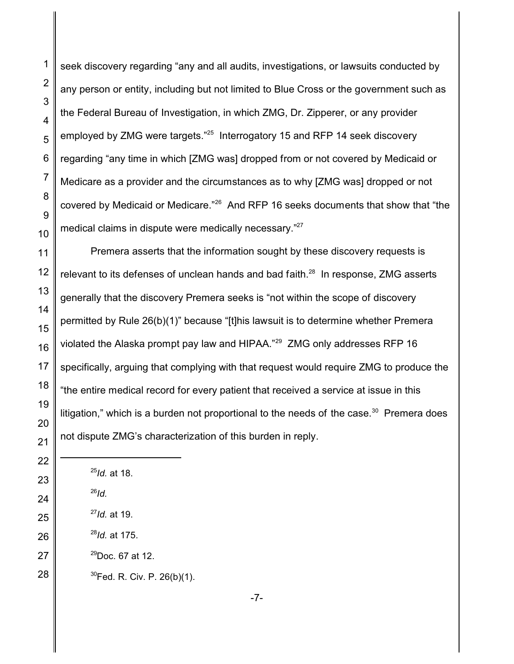seek discovery regarding "any and all audits, investigations, or lawsuits conducted by any person or entity, including but not limited to Blue Cross or the government such as the Federal Bureau of Investigation, in which ZMG, Dr. Zipperer, or any provider employed by ZMG were targets."<sup>25</sup> Interrogatory 15 and RFP 14 seek discovery regarding "any time in which [ZMG was] dropped from or not covered by Medicaid or Medicare as a provider and the circumstances as to why [ZMG was] dropped or not covered by Medicaid or Medicare."<sup>26</sup> And RFP 16 seeks documents that show that "the medical claims in dispute were medically necessary."<sup>27</sup>

Premera asserts that the information sought by these discovery requests is relevant to its defenses of unclean hands and bad faith.<sup>28</sup> In response, ZMG asserts generally that the discovery Premera seeks is "not within the scope of discovery permitted by Rule 26(b)(1)" because "[t]his lawsuit is to determine whether Premera violated the Alaska prompt pay law and HIPAA."<sup>29</sup> ZMG only addresses RFP 16 specifically, arguing that complying with that request would require ZMG to produce the "the entire medical record for every patient that received a service at issue in this litigation," which is a burden not proportional to the needs of the case. $^{\rm 30}$  Premera does not dispute ZMG's characterization of this burden in reply.

- *Id.* at 175.
- $^{29}$ Doc. 67 at 12.

Fed. R. Civ. P. 26(b)(1).

 *Id.* at 18. *Id. Id.* at 19.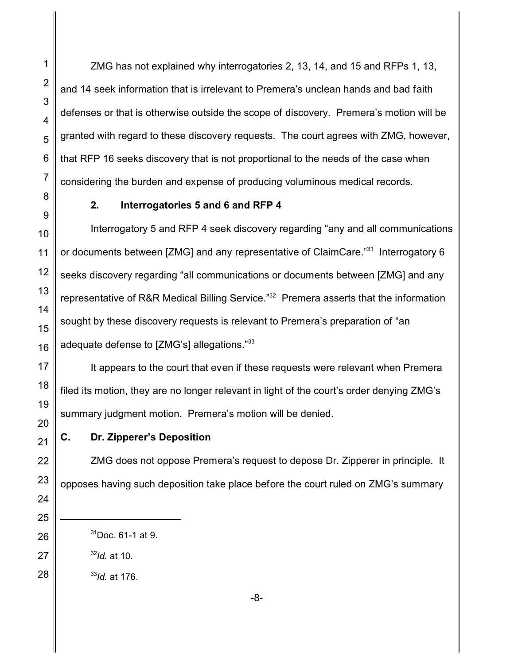ZMG has not explained why interrogatories 2, 13, 14, and 15 and RFPs 1, 13, and 14 seek information that is irrelevant to Premera's unclean hands and bad faith defenses or that is otherwise outside the scope of discovery. Premera's motion will be granted with regard to these discovery requests. The court agrees with ZMG, however, that RFP 16 seeks discovery that is not proportional to the needs of the case when considering the burden and expense of producing voluminous medical records.

## **2. Interrogatories 5 and 6 and RFP 4**

Interrogatory 5 and RFP 4 seek discovery regarding "any and all communications or documents between [ZMG] and any representative of ClaimCare."<sup>31</sup> Interrogatory 6 seeks discovery regarding "all communications or documents between [ZMG] and any representative of R&R Medical Billing Service."<sup>32</sup> Premera asserts that the information sought by these discovery requests is relevant to Premera's preparation of "an adequate defense to [ZMG's] allegations." $^{33}$ 

It appears to the court that even if these requests were relevant when Premera filed its motion, they are no longer relevant in light of the court's order denying ZMG's summary judgment motion. Premera's motion will be denied.

## **C. Dr. Zipperer's Deposition**

ZMG does not oppose Premera's request to depose Dr. Zipperer in principle. It opposes having such deposition take place before the court ruled on ZMG's summary

*Id.* at 10.

*Id.* at 176.

-8-

Doc. 61-1 at 9.